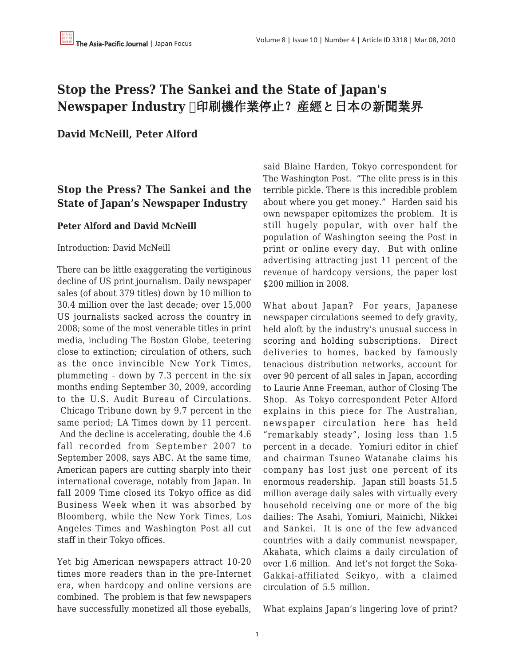# **Stop the Press? The Sankei and the State of Japan's** Newspaper Industry □印刷機作業停止?産經と日本の新聞業界

**David McNeill, Peter Alford**

## **Stop the Press? The Sankei and the State of Japan's Newspaper Industry**

### **Peter Alford and David McNeill**

#### Introduction: David McNeill

There can be little exaggerating the vertiginous decline of US print journalism. Daily newspaper sales (of about 379 titles) down by 10 million to 30.4 million over the last decade; over 15,000 US journalists sacked across the country in 2008; some of the most venerable titles in print media, including The Boston Globe, teetering close to extinction; circulation of others, such as the once invincible New York Times, plummeting – down by 7.3 percent in the six months ending September 30, 2009, according to the U.S. Audit Bureau of Circulations. Chicago Tribune down by 9.7 percent in the same period; LA Times down by 11 percent. And the decline is accelerating, double the 4.6 fall recorded from September 2007 to September 2008, says ABC. At the same time, American papers are cutting sharply into their international coverage, notably from Japan. In fall 2009 Time closed its Tokyo office as did Business Week when it was absorbed by Bloomberg, while the New York Times, Los Angeles Times and Washington Post all cut staff in their Tokyo offices.

Yet big American newspapers attract 10-20 times more readers than in the pre-Internet era, when hardcopy and online versions are combined. The problem is that few newspapers have successfully monetized all those eyeballs,

said Blaine Harden, Tokyo correspondent for The Washington Post. "The elite press is in this terrible pickle. There is this incredible problem about where you get money." Harden said his own newspaper epitomizes the problem. It is still hugely popular, with over half the population of Washington seeing the Post in print or online every day. But with online advertising attracting just 11 percent of the revenue of hardcopy versions, the paper lost \$200 million in 2008.

What about Japan? For years, Japanese newspaper circulations seemed to defy gravity, held aloft by the industry's unusual success in scoring and holding subscriptions. Direct deliveries to homes, backed by famously tenacious distribution networks, account for over 90 percent of all sales in Japan, according to Laurie Anne Freeman, author of Closing The Shop. As Tokyo correspondent Peter Alford explains in this piece for The Australian, newspaper circulation here has held "remarkably steady", losing less than 1.5 percent in a decade. Yomiuri editor in chief and chairman Tsuneo Watanabe claims his company has lost just one percent of its enormous readership. Japan still boasts 51.5 million average daily sales with virtually every household receiving one or more of the big dailies: The Asahi, Yomiuri, Mainichi, Nikkei and Sankei. It is one of the few advanced countries with a daily communist newspaper, Akahata, which claims a daily circulation of over 1.6 million. And let's not forget the Soka-Gakkai-affiliated Seikyo, with a claimed circulation of 5.5 million.

What explains Japan's lingering love of print?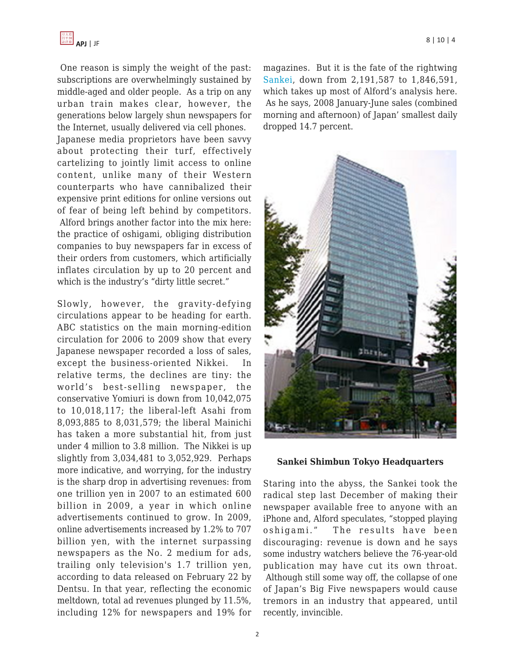One reason is simply the weight of the past: subscriptions are overwhelmingly sustained by middle-aged and older people. As a trip on any urban train makes clear, however, the generations below largely shun newspapers for the Internet, usually delivered via cell phones.

Japanese media proprietors have been savvy about protecting their turf, effectively cartelizing to jointly limit access to online content, unlike many of their Western counterparts who have cannibalized their expensive print editions for online versions out of fear of being left behind by competitors. Alford brings another factor into the mix here: the practice of oshigami, obliging distribution companies to buy newspapers far in excess of their orders from customers, which artificially inflates circulation by up to 20 percent and which is the industry's "dirty little secret."

Slowly, however, the gravity-defying circulations appear to be heading for earth. ABC statistics on the main morning-edition circulation for 2006 to 2009 show that every Japanese newspaper recorded a loss of sales, except the business-oriented Nikkei. In relative terms, the declines are tiny: the world's best-selling newspaper, the conservative Yomiuri is down from 10,042,075 to 10,018,117; the liberal-left Asahi from 8,093,885 to 8,031,579; the liberal Mainichi has taken a more substantial hit, from just under 4 million to 3.8 million. The Nikkei is up slightly from 3,034,481 to 3,052,929. Perhaps more indicative, and worrying, for the industry is the sharp drop in advertising revenues: from one trillion yen in 2007 to an estimated 600 billion in 2009, a year in which online advertisements continued to grow. In 2009, online advertisements increased by 1.2% to 707 billion yen, with the internet surpassing newspapers as the No. 2 medium for ads, trailing only television's 1.7 trillion yen, according to data released on February 22 by Dentsu. In that year, reflecting the economic meltdown, total ad revenues plunged by 11.5%, including 12% for newspapers and 19% for magazines. But it is the fate of the rightwing [Sankei,](http://sankei.jp.msn.com/) down from 2,191,587 to 1,846,591, which takes up most of Alford's analysis here. As he says, 2008 January-June sales (combined morning and afternoon) of Japan' smallest daily dropped 14.7 percent.



#### **Sankei Shimbun Tokyo Headquarters**

Staring into the abyss, the Sankei took the radical step last December of making their newspaper available free to anyone with an iPhone and, Alford speculates, "stopped playing oshigami." The results have been discouraging: revenue is down and he says some industry watchers believe the 76-year-old publication may have cut its own throat. Although still some way off, the collapse of one of Japan's Big Five newspapers would cause tremors in an industry that appeared, until recently, invincible.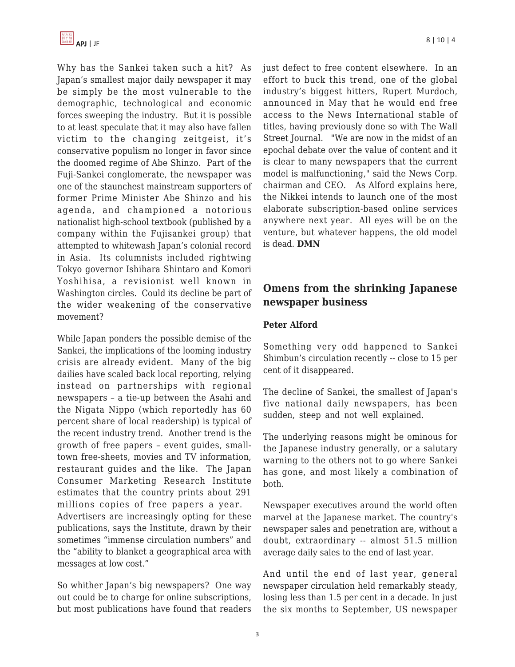

Why has the Sankei taken such a hit? As Japan's smallest major daily newspaper it may be simply be the most vulnerable to the demographic, technological and economic forces sweeping the industry. But it is possible to at least speculate that it may also have fallen victim to the changing zeitgeist, it's conservative populism no longer in favor since the doomed regime of Abe Shinzo. Part of the Fuji-Sankei conglomerate, the newspaper was one of the staunchest mainstream supporters of former Prime Minister Abe Shinzo and his agenda, and championed a notorious nationalist high-school textbook (published by a company within the Fujisankei group) that attempted to whitewash Japan's colonial record in Asia. Its columnists included rightwing Tokyo governor Ishihara Shintaro and Komori Yoshihisa, a revisionist well known in Washington circles. Could its decline be part of the wider weakening of the conservative movement?

While Japan ponders the possible demise of the Sankei, the implications of the looming industry crisis are already evident. Many of the big dailies have scaled back local reporting, relying instead on partnerships with regional newspapers – a tie-up between the Asahi and the Nigata Nippo (which reportedly has 60 percent share of local readership) is typical of the recent industry trend. Another trend is the growth of free papers – event guides, smalltown free-sheets, movies and TV information, restaurant guides and the like. The Japan Consumer Marketing Research Institute estimates that the country prints about 291 millions copies of free papers a year.

Advertisers are increasingly opting for these publications, says the Institute, drawn by their sometimes "immense circulation numbers" and the "ability to blanket a geographical area with messages at low cost."

So whither Japan's big newspapers? One way out could be to charge for online subscriptions, but most publications have found that readers just defect to free content elsewhere. In an effort to buck this trend, one of the global industry's biggest hitters, Rupert Murdoch, announced in May that he would end free access to the News International stable of titles, having previously done so with The Wall Street Journal. "We are now in the midst of an epochal debate over the value of content and it is clear to many newspapers that the current model is malfunctioning," said the News Corp. chairman and CEO. As Alford explains here, the Nikkei intends to launch one of the most elaborate subscription-based online services anywhere next year. All eyes will be on the venture, but whatever happens, the old model is dead. **DMN**

### **Omens from the shrinking Japanese newspaper business**

### **Peter Alford**

Something very odd happened to Sankei Shimbun's circulation recently -- close to 15 per cent of it disappeared.

The decline of Sankei, the smallest of Japan's five national daily newspapers, has been sudden, steep and not well explained.

The underlying reasons might be ominous for the Japanese industry generally, or a salutary warning to the others not to go where Sankei has gone, and most likely a combination of both.

Newspaper executives around the world often marvel at the Japanese market. The country's newspaper sales and penetration are, without a doubt, extraordinary -- almost 51.5 million average daily sales to the end of last year.

And until the end of last year, general newspaper circulation held remarkably steady, losing less than 1.5 per cent in a decade. In just the six months to September, US newspaper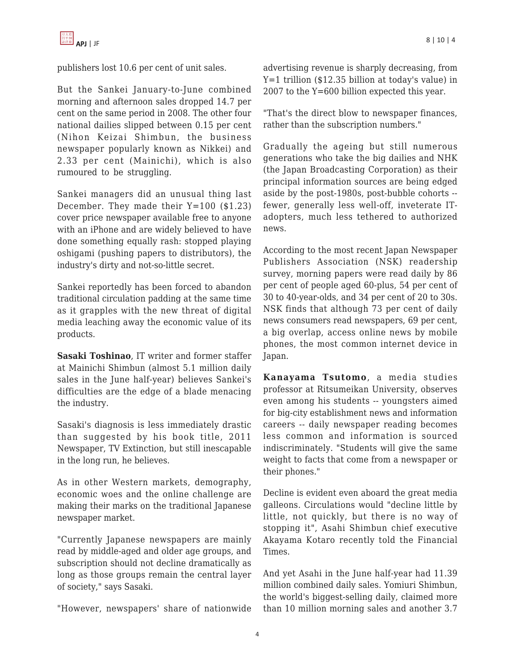

publishers lost 10.6 per cent of unit sales.

But the Sankei January-to-June combined morning and afternoon sales dropped 14.7 per cent on the same period in 2008. The other four national dailies slipped between 0.15 per cent (Nihon Keizai Shimbun, the business newspaper popularly known as Nikkei) and 2.33 per cent (Mainichi), which is also rumoured to be struggling.

Sankei managers did an unusual thing last December. They made their Y=100 (\$1.23) cover price newspaper available free to anyone with an iPhone and are widely believed to have done something equally rash: stopped playing oshigami (pushing papers to distributors), the industry's dirty and not-so-little secret.

Sankei reportedly has been forced to abandon traditional circulation padding at the same time as it grapples with the new threat of digital media leaching away the economic value of its products.

**Sasaki Toshinao**, IT writer and former staffer at Mainichi Shimbun (almost 5.1 million daily sales in the June half-year) believes Sankei's difficulties are the edge of a blade menacing the industry.

Sasaki's diagnosis is less immediately drastic than suggested by his book title, 2011 Newspaper, TV Extinction, but still inescapable in the long run, he believes.

As in other Western markets, demography, economic woes and the online challenge are making their marks on the traditional Japanese newspaper market.

"Currently Japanese newspapers are mainly read by middle-aged and older age groups, and subscription should not decline dramatically as long as those groups remain the central layer of society," says Sasaki.

"However, newspapers' share of nationwide

advertising revenue is sharply decreasing, from Y=1 trillion (\$12.35 billion at today's value) in 2007 to the Y=600 billion expected this year.

"That's the direct blow to newspaper finances, rather than the subscription numbers."

Gradually the ageing but still numerous generations who take the big dailies and NHK (the Japan Broadcasting Corporation) as their principal information sources are being edged aside by the post-1980s, post-bubble cohorts - fewer, generally less well-off, inveterate ITadopters, much less tethered to authorized news.

According to the most recent Japan Newspaper Publishers Association (NSK) readership survey, morning papers were read daily by 86 per cent of people aged 60-plus, 54 per cent of 30 to 40-year-olds, and 34 per cent of 20 to 30s. NSK finds that although 73 per cent of daily news consumers read newspapers, 69 per cent, a big overlap, access online news by mobile phones, the most common internet device in Japan.

**Kanayama Tsutomo**, a media studies professor at Ritsumeikan University, observes even among his students -- youngsters aimed for big-city establishment news and information careers -- daily newspaper reading becomes less common and information is sourced indiscriminately. "Students will give the same weight to facts that come from a newspaper or their phones."

Decline is evident even aboard the great media galleons. Circulations would "decline little by little, not quickly, but there is no way of stopping it", Asahi Shimbun chief executive Akayama Kotaro recently told the Financial Times.

And yet Asahi in the June half-year had 11.39 million combined daily sales. Yomiuri Shimbun, the world's biggest-selling daily, claimed more than 10 million morning sales and another 3.7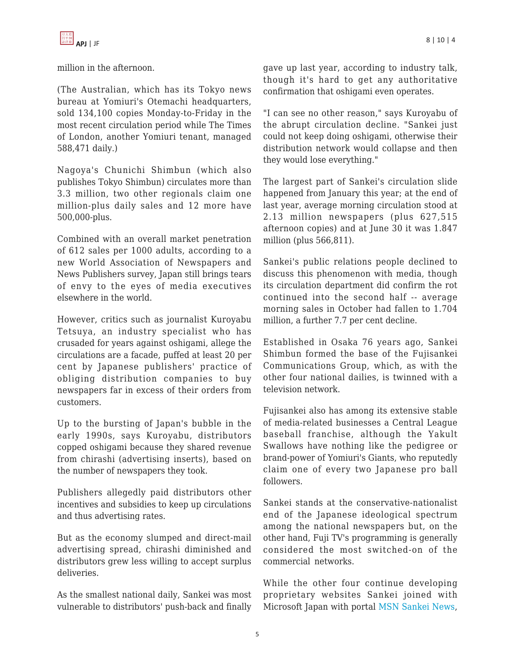

million in the afternoon.

(The Australian, which has its Tokyo news bureau at Yomiuri's Otemachi headquarters, sold 134,100 copies Monday-to-Friday in the most recent circulation period while The Times of London, another Yomiuri tenant, managed 588,471 daily.)

Nagoya's Chunichi Shimbun (which also publishes Tokyo Shimbun) circulates more than 3.3 million, two other regionals claim one million-plus daily sales and 12 more have 500,000-plus.

Combined with an overall market penetration of 612 sales per 1000 adults, according to a new World Association of Newspapers and News Publishers survey, Japan still brings tears of envy to the eyes of media executives elsewhere in the world.

However, critics such as journalist Kuroyabu Tetsuya, an industry specialist who has crusaded for years against oshigami, allege the circulations are a facade, puffed at least 20 per cent by Japanese publishers' practice of obliging distribution companies to buy newspapers far in excess of their orders from customers.

Up to the bursting of Japan's bubble in the early 1990s, says Kuroyabu, distributors copped oshigami because they shared revenue from chirashi (advertising inserts), based on the number of newspapers they took.

Publishers allegedly paid distributors other incentives and subsidies to keep up circulations and thus advertising rates.

But as the economy slumped and direct-mail advertising spread, chirashi diminished and distributors grew less willing to accept surplus deliveries.

As the smallest national daily, Sankei was most vulnerable to distributors' push-back and finally gave up last year, according to industry talk, though it's hard to get any authoritative confirmation that oshigami even operates.

"I can see no other reason," says Kuroyabu of the abrupt circulation decline. "Sankei just could not keep doing oshigami, otherwise their distribution network would collapse and then they would lose everything."

The largest part of Sankei's circulation slide happened from January this year; at the end of last year, average morning circulation stood at 2.13 million newspapers (plus 627,515 afternoon copies) and at June 30 it was 1.847 million (plus 566,811).

Sankei's public relations people declined to discuss this phenomenon with media, though its circulation department did confirm the rot continued into the second half -- average morning sales in October had fallen to 1.704 million, a further 7.7 per cent decline.

Established in Osaka 76 years ago, Sankei Shimbun formed the base of the Fujisankei Communications Group, which, as with the other four national dailies, is twinned with a television network.

Fujisankei also has among its extensive stable of media-related businesses a Central League baseball franchise, although the Yakult Swallows have nothing like the pedigree or brand-power of Yomiuri's Giants, who reputedly claim one of every two Japanese pro ball followers.

Sankei stands at the conservative-nationalist end of the Japanese ideological spectrum among the national newspapers but, on the other hand, Fuji TV's programming is generally considered the most switched-on of the commercial networks.

While the other four continue developing proprietary websites Sankei joined with Microsoft Japan with portal [MSN Sankei News,](http://sankei.jp.msn.com/)